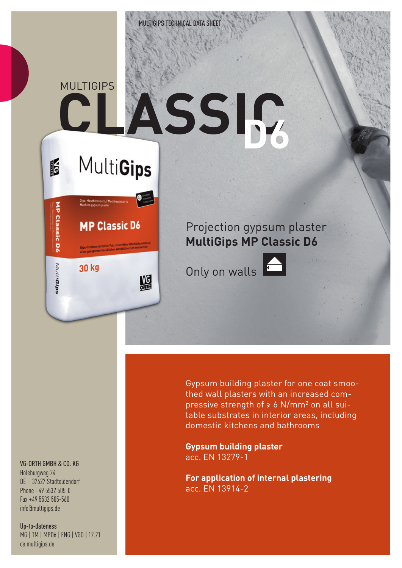

# **CLASSIC MULTIGIPS D6**

**MultiGips** 

**MP Classic D6** 

鰮

30 kg

16

MP Classic D6

MultiGips

### Projection gypsum plaster **MultiGips MP Classic D6**

Only on walls



Gypsum building plaster for one coat smoothed wall plasters with an increased compressive strength of ≥ 6 N/mm² on all suitable substrates in interior areas, including domestic kitchens and bathrooms

**Gypsum building plaster** acc. EN 13279-1

**For application of internal plastering** acc. EN 13914-2

#### VG-ORTH GMBH & CO. KG

Holeburgweg 24 DE – 37627 Stadtoldendorf Phone +49 5532 505-0 Fax +49 5532 505-560 info@multigips.de

Up-to-dateness MG | TM | MPD6 | ENG | VGO | 12.21 ce.multigips.de